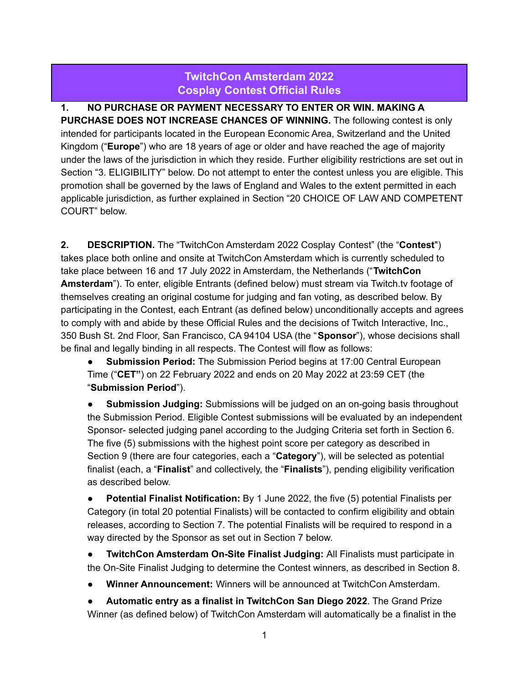## **TwitchCon Amsterdam 2022 Cosplay Contest Official Rules**

**1. NO PURCHASE OR PAYMENT NECESSARY TO ENTER OR WIN. MAKING A PURCHASE DOES NOT INCREASE CHANCES OF WINNING.** The following contest is only intended for participants located in the European Economic Area, Switzerland and the United Kingdom ("**Europe**") who are 18 years of age or older and have reached the age of majority under the laws of the jurisdiction in which they reside. Further eligibility restrictions are set out in Section "3. ELIGIBILITY" below. Do not attempt to enter the contest unless you are eligible. This promotion shall be governed by the laws of England and Wales to the extent permitted in each applicable jurisdiction, as further explained in Section "20 CHOICE OF LAW AND COMPETENT COURT" below.

**2. DESCRIPTION.** The "TwitchCon Amsterdam 2022 Cosplay Contest" (the "**Contest**") takes place both online and onsite at TwitchCon Amsterdam which is currently scheduled to take place between 16 and 17 July 2022 in Amsterdam, the Netherlands ("**TwitchCon Amsterdam**"). To enter, eligible Entrants (defined below) must stream via Twitch.tv footage of themselves creating an original costume for judging and fan voting, as described below. By participating in the Contest, each Entrant (as defined below) unconditionally accepts and agrees to comply with and abide by these Official Rules and the decisions of Twitch Interactive, Inc., 350 Bush St. 2nd Floor, San Francisco, CA 94104 USA (the "**Sponsor**"), whose decisions shall be final and legally binding in all respects. The Contest will flow as follows:

● **Submission Period:** The Submission Period begins at 17:00 Central European Time ("**CET"**) on 22 February 2022 and ends on 20 May 2022 at 23:59 CET (the "**Submission Period**").

**Submission Judging:** Submissions will be judged on an on-going basis throughout the Submission Period. Eligible Contest submissions will be evaluated by an independent Sponsor- selected judging panel according to the Judging Criteria set forth in Section 6. The five (5) submissions with the highest point score per category as described in Section 9 (there are four categories, each a "**Category**"), will be selected as potential finalist (each, a "**Finalist**" and collectively, the "**Finalists**"), pending eligibility verification as described below.

● **Potential Finalist Notification:** By 1 June 2022, the five (5) potential Finalists per Category (in total 20 potential Finalists) will be contacted to confirm eligibility and obtain releases, according to Section 7. The potential Finalists will be required to respond in a way directed by the Sponsor as set out in Section 7 below.

● **TwitchCon Amsterdam On-Site Finalist Judging:** All Finalists must participate in the On-Site Finalist Judging to determine the Contest winners, as described in Section 8.

**Winner Announcement:** Winners will be announced at TwitchCon Amsterdam.

● **Automatic entry as a finalist in TwitchCon San Diego 2022**. The Grand Prize Winner (as defined below) of TwitchCon Amsterdam will automatically be a finalist in the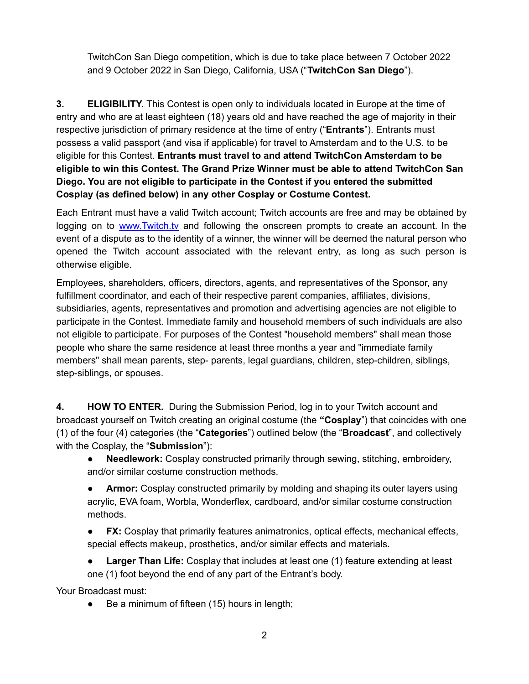TwitchCon San Diego competition, which is due to take place between 7 October 2022 and 9 October 2022 in San Diego, California, USA ("**TwitchCon San Diego**").

**3. ELIGIBILITY.** This Contest is open only to individuals located in Europe at the time of entry and who are at least eighteen (18) years old and have reached the age of majority in their respective jurisdiction of primary residence at the time of entry ("**Entrants**"). Entrants must possess a valid passport (and visa if applicable) for travel to Amsterdam and to the U.S. to be eligible for this Contest. **Entrants must travel to and attend TwitchCon Amsterdam to be eligible to win this Contest. The Grand Prize Winner must be able to attend TwitchCon San Diego. You are not eligible to participate in the Contest if you entered the submitted Cosplay (as defined below) in any other Cosplay or Costume Contest.**

Each Entrant must have a valid Twitch account; Twitch accounts are free and may be obtained by logging on to [www.Twitch.tv](http://www.twitch.tv/) and following the onscreen prompts to create an account. In the event of a dispute as to the identity of a winner, the winner will be deemed the natural person who opened the Twitch account associated with the relevant entry, as long as such person is otherwise eligible.

Employees, shareholders, officers, directors, agents, and representatives of the Sponsor, any fulfillment coordinator, and each of their respective parent companies, affiliates, divisions, subsidiaries, agents, representatives and promotion and advertising agencies are not eligible to participate in the Contest. Immediate family and household members of such individuals are also not eligible to participate. For purposes of the Contest "household members" shall mean those people who share the same residence at least three months a year and "immediate family members" shall mean parents, step- parents, legal guardians, children, step-children, siblings, step-siblings, or spouses.

**4. HOW TO ENTER.** During the Submission Period, log in to your Twitch account and broadcast yourself on Twitch creating an original costume (the **"Cosplay**") that coincides with one (1) of the four (4) categories (the "**Categories**") outlined below (the "**Broadcast**", and collectively with the Cosplay, the "**Submission**"):

- **Needlework:** Cosplay constructed primarily through sewing, stitching, embroidery, and/or similar costume construction methods.
- **Armor:** Cosplay constructed primarily by molding and shaping its outer layers using acrylic, EVA foam, Worbla, Wonderflex, cardboard, and/or similar costume construction methods.
- **FX:** Cosplay that primarily features animatronics, optical effects, mechanical effects, special effects makeup, prosthetics, and/or similar effects and materials.

**Larger Than Life:** Cosplay that includes at least one (1) feature extending at least one (1) foot beyond the end of any part of the Entrant's body.

Your Broadcast must:

● Be a minimum of fifteen (15) hours in length;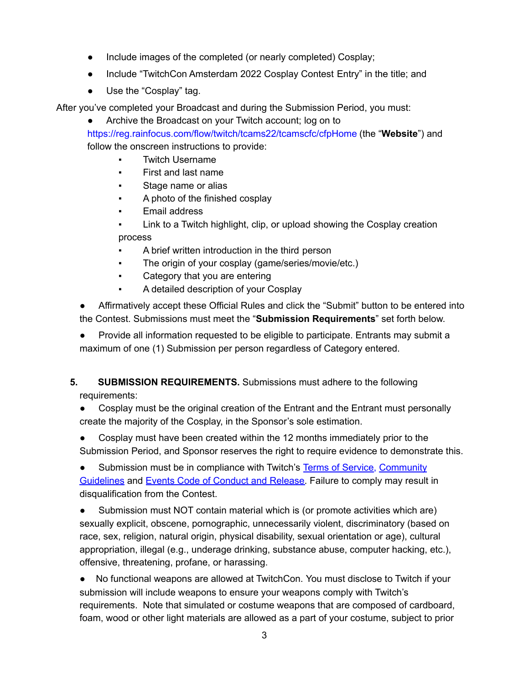- Include images of the completed (or nearly completed) Cosplay;
- Include "TwitchCon Amsterdam 2022 Cosplay Contest Entry" in the title; and
- Use the "Cosplay" tag.

After you've completed your Broadcast and during the Submission Period, you must:

Archive the Broadcast on your Twitch account; log on to

https://reg.rainfocus.com/flow/twitch/tcams22/tcamscfc/cfpHome (the "**Website**") and follow the onscreen instructions to provide:

- **Twitch Username**
- First and last name
- Stage name or alias
- A photo of the finished cosplay
- Email address
- Link to a Twitch highlight, clip, or upload showing the Cosplay creation process
- A brief written introduction in the third person
- **•** The origin of your cosplay (game/series/movie/etc.)
- Category that you are entering
- A detailed description of your Cosplay

● Affirmatively accept these Official Rules and click the "Submit" button to be entered into the Contest. Submissions must meet the "**Submission Requirements**" set forth below.

● Provide all information requested to be eligible to participate. Entrants may submit a maximum of one (1) Submission per person regardless of Category entered.

## **5. SUBMISSION REQUIREMENTS.** Submissions must adhere to the following requirements:

- Cosplay must be the original creation of the Entrant and the Entrant must personally create the majority of the Cosplay, in the Sponsor's sole estimation.
- Cosplay must have been created within the 12 months immediately prior to the Submission Period, and Sponsor reserves the right to require evidence to demonstrate this.

Submission must be in compliance with Twitch's Terms of [Service,](https://www.twitch.tv/p/legal/terms-of-service/) [Community](https://link.twitch.tv/community-guidelines) [Guidelines](https://link.twitch.tv/community-guidelines) and Events Code of [Conduct](https://www.twitch.tv/p/en/legal/events-code-of-conduct/) and Release. Failure to comply may result in disqualification from the Contest.

● Submission must NOT contain material which is (or promote activities which are) sexually explicit, obscene, pornographic, unnecessarily violent, discriminatory (based on race, sex, religion, natural origin, physical disability, sexual orientation or age), cultural appropriation, illegal (e.g., underage drinking, substance abuse, computer hacking, etc.), offensive, threatening, profane, or harassing.

● No functional weapons are allowed at TwitchCon. You must disclose to Twitch if your submission will include weapons to ensure your weapons comply with Twitch's requirements. Note that simulated or costume weapons that are composed of cardboard, foam, wood or other light materials are allowed as a part of your costume, subject to prior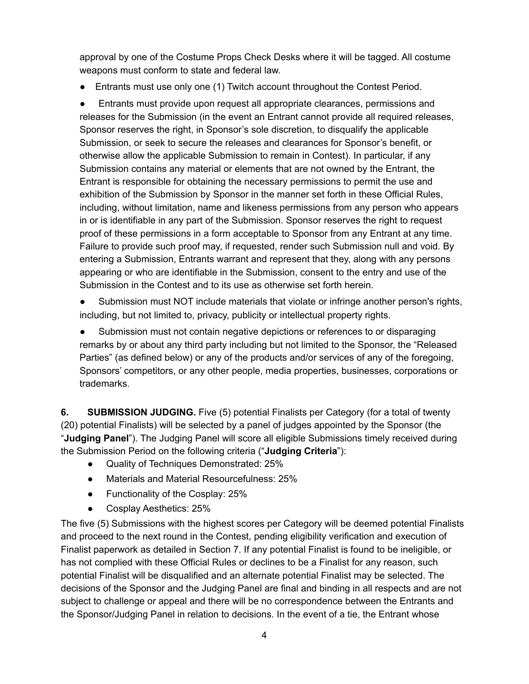approval by one of the Costume Props Check Desks where it will be tagged. All costume weapons must conform to state and federal law.

● Entrants must use only one (1) Twitch account throughout the Contest Period.

● Entrants must provide upon request all appropriate clearances, permissions and releases for the Submission (in the event an Entrant cannot provide all required releases, Sponsor reserves the right, in Sponsor's sole discretion, to disqualify the applicable Submission, or seek to secure the releases and clearances for Sponsor's benefit, or otherwise allow the applicable Submission to remain in Contest). In particular, if any Submission contains any material or elements that are not owned by the Entrant, the Entrant is responsible for obtaining the necessary permissions to permit the use and exhibition of the Submission by Sponsor in the manner set forth in these Official Rules, including, without limitation, name and likeness permissions from any person who appears in or is identifiable in any part of the Submission. Sponsor reserves the right to request proof of these permissions in a form acceptable to Sponsor from any Entrant at any time. Failure to provide such proof may, if requested, render such Submission null and void. By entering a Submission, Entrants warrant and represent that they, along with any persons appearing or who are identifiable in the Submission, consent to the entry and use of the Submission in the Contest and to its use as otherwise set forth herein.

● Submission must NOT include materials that violate or infringe another person's rights, including, but not limited to, privacy, publicity or intellectual property rights.

● Submission must not contain negative depictions or references to or disparaging remarks by or about any third party including but not limited to the Sponsor, the "Released Parties" (as defined below) or any of the products and/or services of any of the foregoing, Sponsors' competitors, or any other people, media properties, businesses, corporations or trademarks.

**6. SUBMISSION JUDGING.** Five (5) potential Finalists per Category (for a total of twenty (20) potential Finalists) will be selected by a panel of judges appointed by the Sponsor (the "**Judging Panel**"). The Judging Panel will score all eligible Submissions timely received during the Submission Period on the following criteria ("**Judging Criteria**"):

- Quality of Techniques Demonstrated: 25%
- Materials and Material Resourcefulness: 25%
- Functionality of the Cosplay: 25%
- Cosplay Aesthetics: 25%

The five (5) Submissions with the highest scores per Category will be deemed potential Finalists and proceed to the next round in the Contest, pending eligibility verification and execution of Finalist paperwork as detailed in Section 7. If any potential Finalist is found to be ineligible, or has not complied with these Official Rules or declines to be a Finalist for any reason, such potential Finalist will be disqualified and an alternate potential Finalist may be selected. The decisions of the Sponsor and the Judging Panel are final and binding in all respects and are not subject to challenge or appeal and there will be no correspondence between the Entrants and the Sponsor/Judging Panel in relation to decisions. In the event of a tie, the Entrant whose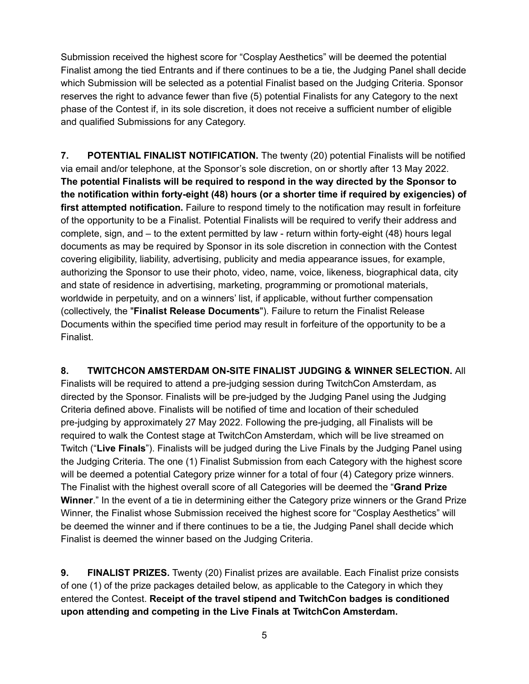Submission received the highest score for "Cosplay Aesthetics" will be deemed the potential Finalist among the tied Entrants and if there continues to be a tie, the Judging Panel shall decide which Submission will be selected as a potential Finalist based on the Judging Criteria. Sponsor reserves the right to advance fewer than five (5) potential Finalists for any Category to the next phase of the Contest if, in its sole discretion, it does not receive a sufficient number of eligible and qualified Submissions for any Category.

**7. POTENTIAL FINALIST NOTIFICATION.** The twenty (20) potential Finalists will be notified via email and/or telephone, at the Sponsor's sole discretion, on or shortly after 13 May 2022. **The potential Finalists will be required to respond in the way directed by the Sponsor to the notification within forty-eight (48) hours (or a shorter time if required by exigencies) of first attempted notification.** Failure to respond timely to the notification may result in forfeiture of the opportunity to be a Finalist. Potential Finalists will be required to verify their address and complete, sign, and – to the extent permitted by law - return within forty-eight (48) hours legal documents as may be required by Sponsor in its sole discretion in connection with the Contest covering eligibility, liability, advertising, publicity and media appearance issues, for example, authorizing the Sponsor to use their photo, video, name, voice, likeness, biographical data, city and state of residence in advertising, marketing, programming or promotional materials, worldwide in perpetuity, and on a winners' list, if applicable, without further compensation (collectively, the "**Finalist Release Documents**"). Failure to return the Finalist Release Documents within the specified time period may result in forfeiture of the opportunity to be a Finalist.

**8. TWITCHCON AMSTERDAM ON-SITE FINALIST JUDGING & WINNER SELECTION.** All Finalists will be required to attend a pre-judging session during TwitchCon Amsterdam, as directed by the Sponsor. Finalists will be pre-judged by the Judging Panel using the Judging Criteria defined above. Finalists will be notified of time and location of their scheduled pre-judging by approximately 27 May 2022. Following the pre-judging, all Finalists will be required to walk the Contest stage at TwitchCon Amsterdam, which will be live streamed on Twitch ("**Live Finals**"). Finalists will be judged during the Live Finals by the Judging Panel using the Judging Criteria. The one (1) Finalist Submission from each Category with the highest score will be deemed a potential Category prize winner for a total of four (4) Category prize winners. The Finalist with the highest overall score of all Categories will be deemed the "**Grand Prize Winner**." In the event of a tie in determining either the Category prize winners or the Grand Prize Winner, the Finalist whose Submission received the highest score for "Cosplay Aesthetics" will be deemed the winner and if there continues to be a tie, the Judging Panel shall decide which Finalist is deemed the winner based on the Judging Criteria.

**9. FINALIST PRIZES.** Twenty (20) Finalist prizes are available. Each Finalist prize consists of one (1) of the prize packages detailed below, as applicable to the Category in which they entered the Contest. **Receipt of the travel stipend and TwitchCon badges is conditioned upon attending and competing in the Live Finals at TwitchCon Amsterdam.**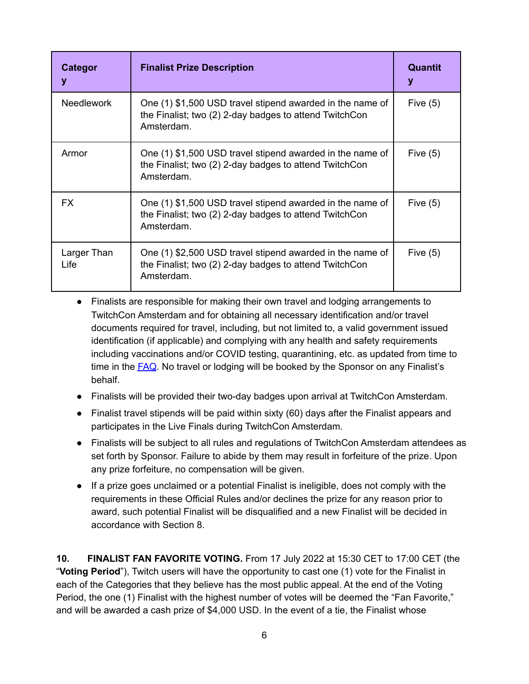| Categor<br>y        | <b>Finalist Prize Description</b>                                                                                                 | <b>Quantit</b><br>у |
|---------------------|-----------------------------------------------------------------------------------------------------------------------------------|---------------------|
| <b>Needlework</b>   | One (1) \$1,500 USD travel stipend awarded in the name of<br>the Finalist; two (2) 2-day badges to attend TwitchCon<br>Amsterdam. | Five $(5)$          |
| Armor               | One (1) \$1,500 USD travel stipend awarded in the name of<br>the Finalist; two (2) 2-day badges to attend TwitchCon<br>Amsterdam. | Five $(5)$          |
| <b>FX</b>           | One (1) \$1,500 USD travel stipend awarded in the name of<br>the Finalist; two (2) 2-day badges to attend TwitchCon<br>Amsterdam. | Five $(5)$          |
| Larger Than<br>Life | One (1) \$2,500 USD travel stipend awarded in the name of<br>the Finalist; two (2) 2-day badges to attend TwitchCon<br>Amsterdam. | Five $(5)$          |

- Finalists are responsible for making their own travel and lodging arrangements to TwitchCon Amsterdam and for obtaining all necessary identification and/or travel documents required for travel, including, but not limited to, a valid government issued identification (if applicable) and complying with any health and safety requirements including vaccinations and/or COVID testing, quarantining, etc. as updated from time to time in the [FAQ](https://www.twitchcon.com/faq/). No travel or lodging will be booked by the Sponsor on any Finalist's behalf.
- Finalists will be provided their two-day badges upon arrival at TwitchCon Amsterdam.
- Finalist travel stipends will be paid within sixty (60) days after the Finalist appears and participates in the Live Finals during TwitchCon Amsterdam.
- Finalists will be subject to all rules and regulations of TwitchCon Amsterdam attendees as set forth by Sponsor. Failure to abide by them may result in forfeiture of the prize. Upon any prize forfeiture, no compensation will be given.
- If a prize goes unclaimed or a potential Finalist is ineligible, does not comply with the requirements in these Official Rules and/or declines the prize for any reason prior to award, such potential Finalist will be disqualified and a new Finalist will be decided in accordance with Section 8.

**10. FINALIST FAN FAVORITE VOTING.** From 17 July 2022 at 15:30 CET to 17:00 CET (the "**Voting Period**"), Twitch users will have the opportunity to cast one (1) vote for the Finalist in each of the Categories that they believe has the most public appeal. At the end of the Voting Period, the one (1) Finalist with the highest number of votes will be deemed the "Fan Favorite," and will be awarded a cash prize of \$4,000 USD. In the event of a tie, the Finalist whose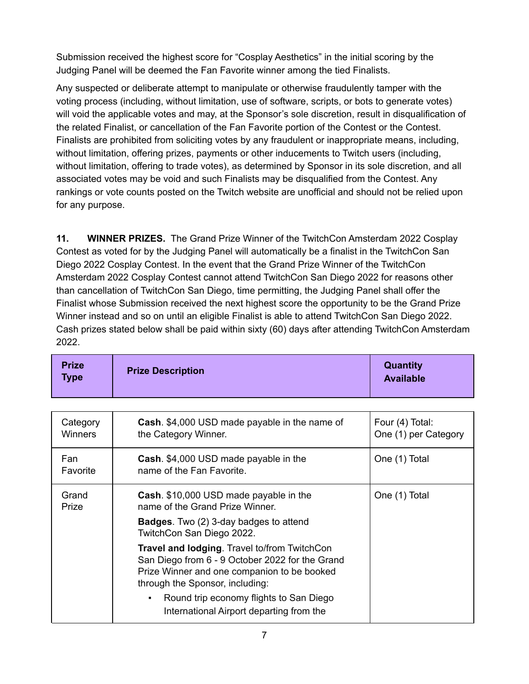Submission received the highest score for "Cosplay Aesthetics" in the initial scoring by the Judging Panel will be deemed the Fan Favorite winner among the tied Finalists.

Any suspected or deliberate attempt to manipulate or otherwise fraudulently tamper with the voting process (including, without limitation, use of software, scripts, or bots to generate votes) will void the applicable votes and may, at the Sponsor's sole discretion, result in disqualification of the related Finalist, or cancellation of the Fan Favorite portion of the Contest or the Contest. Finalists are prohibited from soliciting votes by any fraudulent or inappropriate means, including, without limitation, offering prizes, payments or other inducements to Twitch users (including, without limitation, offering to trade votes), as determined by Sponsor in its sole discretion, and all associated votes may be void and such Finalists may be disqualified from the Contest. Any rankings or vote counts posted on the Twitch website are unofficial and should not be relied upon for any purpose.

**11. WINNER PRIZES.** The Grand Prize Winner of the TwitchCon Amsterdam 2022 Cosplay Contest as voted for by the Judging Panel will automatically be a finalist in the TwitchCon San Diego 2022 Cosplay Contest. In the event that the Grand Prize Winner of the TwitchCon Amsterdam 2022 Cosplay Contest cannot attend TwitchCon San Diego 2022 for reasons other than cancellation of TwitchCon San Diego, time permitting, the Judging Panel shall offer the Finalist whose Submission received the next highest score the opportunity to be the Grand Prize Winner instead and so on until an eligible Finalist is able to attend TwitchCon San Diego 2022. Cash prizes stated below shall be paid within sixty (60) days after attending TwitchCon Amsterdam 2022.

| Category<br><b>Winners</b> | <b>Cash.</b> \$4,000 USD made payable in the name of<br>the Category Winner.                                                                                                      | Four (4) Total:<br>One (1) per Category |
|----------------------------|-----------------------------------------------------------------------------------------------------------------------------------------------------------------------------------|-----------------------------------------|
| Fan<br>Favorite            | <b>Cash.</b> \$4,000 USD made payable in the<br>name of the Fan Favorite.                                                                                                         | One (1) Total                           |
| Grand<br>Prize             | Cash. \$10,000 USD made payable in the<br>name of the Grand Prize Winner.                                                                                                         | One (1) Total                           |
|                            | <b>Badges.</b> Two (2) 3-day badges to attend<br>TwitchCon San Diego 2022.                                                                                                        |                                         |
|                            | Travel and lodging. Travel to/from TwitchCon<br>San Diego from 6 - 9 October 2022 for the Grand<br>Prize Winner and one companion to be booked<br>through the Sponsor, including: |                                         |
|                            | Round trip economy flights to San Diego<br>٠<br>International Airport departing from the                                                                                          |                                         |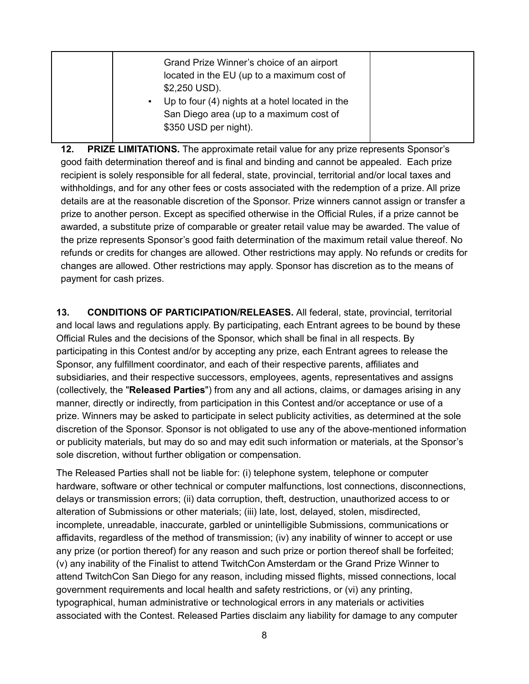| \$350 USD per night). |
|-----------------------|
|-----------------------|

**12. PRIZE LIMITATIONS.** The approximate retail value for any prize represents Sponsor's good faith determination thereof and is final and binding and cannot be appealed. Each prize recipient is solely responsible for all federal, state, provincial, territorial and/or local taxes and withholdings, and for any other fees or costs associated with the redemption of a prize. All prize details are at the reasonable discretion of the Sponsor. Prize winners cannot assign or transfer a prize to another person. Except as specified otherwise in the Official Rules, if a prize cannot be awarded, a substitute prize of comparable or greater retail value may be awarded. The value of the prize represents Sponsor's good faith determination of the maximum retail value thereof. No refunds or credits for changes are allowed. Other restrictions may apply. No refunds or credits for changes are allowed. Other restrictions may apply. Sponsor has discretion as to the means of payment for cash prizes.

**13. CONDITIONS OF PARTICIPATION/RELEASES.** All federal, state, provincial, territorial and local laws and regulations apply. By participating, each Entrant agrees to be bound by these Official Rules and the decisions of the Sponsor, which shall be final in all respects. By participating in this Contest and/or by accepting any prize, each Entrant agrees to release the Sponsor, any fulfillment coordinator, and each of their respective parents, affiliates and subsidiaries, and their respective successors, employees, agents, representatives and assigns (collectively, the "**Released Parties**") from any and all actions, claims, or damages arising in any manner, directly or indirectly, from participation in this Contest and/or acceptance or use of a prize. Winners may be asked to participate in select publicity activities, as determined at the sole discretion of the Sponsor. Sponsor is not obligated to use any of the above-mentioned information or publicity materials, but may do so and may edit such information or materials, at the Sponsor's sole discretion, without further obligation or compensation.

The Released Parties shall not be liable for: (i) telephone system, telephone or computer hardware, software or other technical or computer malfunctions, lost connections, disconnections, delays or transmission errors; (ii) data corruption, theft, destruction, unauthorized access to or alteration of Submissions or other materials; (iii) late, lost, delayed, stolen, misdirected, incomplete, unreadable, inaccurate, garbled or unintelligible Submissions, communications or affidavits, regardless of the method of transmission; (iv) any inability of winner to accept or use any prize (or portion thereof) for any reason and such prize or portion thereof shall be forfeited; (v) any inability of the Finalist to attend TwitchCon Amsterdam or the Grand Prize Winner to attend TwitchCon San Diego for any reason, including missed flights, missed connections, local government requirements and local health and safety restrictions, or (vi) any printing, typographical, human administrative or technological errors in any materials or activities associated with the Contest. Released Parties disclaim any liability for damage to any computer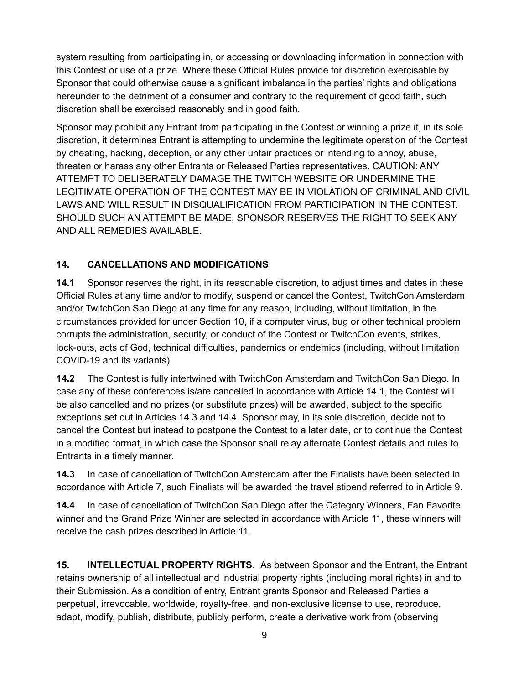system resulting from participating in, or accessing or downloading information in connection with this Contest or use of a prize. Where these Official Rules provide for discretion exercisable by Sponsor that could otherwise cause a significant imbalance in the parties' rights and obligations hereunder to the detriment of a consumer and contrary to the requirement of good faith, such discretion shall be exercised reasonably and in good faith.

Sponsor may prohibit any Entrant from participating in the Contest or winning a prize if, in its sole discretion, it determines Entrant is attempting to undermine the legitimate operation of the Contest by cheating, hacking, deception, or any other unfair practices or intending to annoy, abuse, threaten or harass any other Entrants or Released Parties representatives. CAUTION: ANY ATTEMPT TO DELIBERATELY DAMAGE THE TWITCH WEBSITE OR UNDERMINE THE LEGITIMATE OPERATION OF THE CONTEST MAY BE IN VIOLATION OF CRIMINAL AND CIVIL LAWS AND WILL RESULT IN DISQUALIFICATION FROM PARTICIPATION IN THE CONTEST. SHOULD SUCH AN ATTEMPT BE MADE, SPONSOR RESERVES THE RIGHT TO SEEK ANY AND ALL REMEDIES AVAILABLE.

## **14. CANCELLATIONS AND MODIFICATIONS**

**14.1** Sponsor reserves the right, in its reasonable discretion, to adjust times and dates in these Official Rules at any time and/or to modify, suspend or cancel the Contest, TwitchCon Amsterdam and/or TwitchCon San Diego at any time for any reason, including, without limitation, in the circumstances provided for under Section 10, if a computer virus, bug or other technical problem corrupts the administration, security, or conduct of the Contest or TwitchCon events, strikes, lock-outs, acts of God, technical difficulties, pandemics or endemics (including, without limitation COVID-19 and its variants).

**14.2** The Contest is fully intertwined with TwitchCon Amsterdam and TwitchCon San Diego. In case any of these conferences is/are cancelled in accordance with Article 14.1, the Contest will be also cancelled and no prizes (or substitute prizes) will be awarded, subject to the specific exceptions set out in Articles 14.3 and 14.4. Sponsor may, in its sole discretion, decide not to cancel the Contest but instead to postpone the Contest to a later date, or to continue the Contest in a modified format, in which case the Sponsor shall relay alternate Contest details and rules to Entrants in a timely manner.

**14.3** In case of cancellation of TwitchCon Amsterdam after the Finalists have been selected in accordance with Article 7, such Finalists will be awarded the travel stipend referred to in Article 9.

**14.4** In case of cancellation of TwitchCon San Diego after the Category Winners, Fan Favorite winner and the Grand Prize Winner are selected in accordance with Article 11, these winners will receive the cash prizes described in Article 11.

**15. INTELLECTUAL PROPERTY RIGHTS.** As between Sponsor and the Entrant, the Entrant retains ownership of all intellectual and industrial property rights (including moral rights) in and to their Submission. As a condition of entry, Entrant grants Sponsor and Released Parties a perpetual, irrevocable, worldwide, royalty-free, and non-exclusive license to use, reproduce, adapt, modify, publish, distribute, publicly perform, create a derivative work from (observing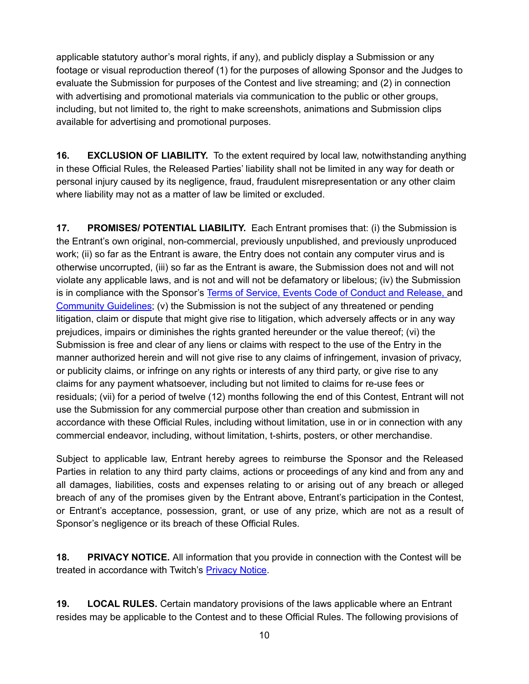applicable statutory author's moral rights, if any), and publicly display a Submission or any footage or visual reproduction thereof (1) for the purposes of allowing Sponsor and the Judges to evaluate the Submission for purposes of the Contest and live streaming; and (2) in connection with advertising and promotional materials via communication to the public or other groups, including, but not limited to, the right to make screenshots, animations and Submission clips available for advertising and promotional purposes.

**16. EXCLUSION OF LIABILITY.** To the extent required by local law, notwithstanding anything in these Official Rules, the Released Parties' liability shall not be limited in any way for death or personal injury caused by its negligence, fraud, fraudulent misrepresentation or any other claim where liability may not as a matter of law be limited or excluded.

**17. PROMISES/ POTENTIAL LIABILITY.** Each Entrant promises that: (i) the Submission is the Entrant's own original, non-commercial, previously unpublished, and previously unproduced work; (ii) so far as the Entrant is aware, the Entry does not contain any computer virus and is otherwise uncorrupted, (iii) so far as the Entrant is aware, the Submission does not and will not violate any applicable laws, and is not and will not be defamatory or libelous; (iv) the Submission is in compliance with the Sponsor's Terms of [Service](https://www.twitch.tv/p/legal/terms-of-service/), Events Code of [Conduct](https://www.twitch.tv/p/en/legal/events-code-of-conduct/) and Release, and [Community](https://link.twitch.tv/community-guidelines) Guidelines; (v) the Submission is not the subject of any threatened or pending litigation, claim or dispute that might give rise to litigation, which adversely affects or in any way prejudices, impairs or diminishes the rights granted hereunder or the value thereof; (vi) the Submission is free and clear of any liens or claims with respect to the use of the Entry in the manner authorized herein and will not give rise to any claims of infringement, invasion of privacy, or publicity claims, or infringe on any rights or interests of any third party, or give rise to any claims for any payment whatsoever, including but not limited to claims for re-use fees or residuals; (vii) for a period of twelve (12) months following the end of this Contest, Entrant will not use the Submission for any commercial purpose other than creation and submission in accordance with these Official Rules, including without limitation, use in or in connection with any commercial endeavor, including, without limitation, t-shirts, posters, or other merchandise.

Subject to applicable law, Entrant hereby agrees to reimburse the Sponsor and the Released Parties in relation to any third party claims, actions or proceedings of any kind and from any and all damages, liabilities, costs and expenses relating to or arising out of any breach or alleged breach of any of the promises given by the Entrant above, Entrant's participation in the Contest, or Entrant's acceptance, possession, grant, or use of any prize, which are not as a result of Sponsor's negligence or its breach of these Official Rules.

**18. PRIVACY NOTICE.** All information that you provide in connection with the Contest will be treated in accordance with Twitch's [Privacy](https://www.twitch.tv/p/en/legal/privacy-notice/) Notice.

**19. LOCAL RULES.** Certain mandatory provisions of the laws applicable where an Entrant resides may be applicable to the Contest and to these Official Rules. The following provisions of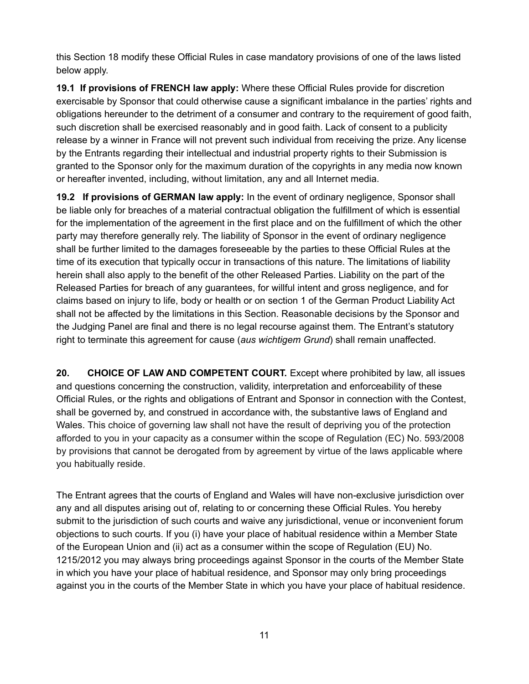this Section 18 modify these Official Rules in case mandatory provisions of one of the laws listed below apply.

**19.1 If provisions of FRENCH law apply:** Where these Official Rules provide for discretion exercisable by Sponsor that could otherwise cause a significant imbalance in the parties' rights and obligations hereunder to the detriment of a consumer and contrary to the requirement of good faith, such discretion shall be exercised reasonably and in good faith. Lack of consent to a publicity release by a winner in France will not prevent such individual from receiving the prize. Any license by the Entrants regarding their intellectual and industrial property rights to their Submission is granted to the Sponsor only for the maximum duration of the copyrights in any media now known or hereafter invented, including, without limitation, any and all Internet media.

**19.2 If provisions of GERMAN law apply:** In the event of ordinary negligence, Sponsor shall be liable only for breaches of a material contractual obligation the fulfillment of which is essential for the implementation of the agreement in the first place and on the fulfillment of which the other party may therefore generally rely. The liability of Sponsor in the event of ordinary negligence shall be further limited to the damages foreseeable by the parties to these Official Rules at the time of its execution that typically occur in transactions of this nature. The limitations of liability herein shall also apply to the benefit of the other Released Parties. Liability on the part of the Released Parties for breach of any guarantees, for willful intent and gross negligence, and for claims based on injury to life, body or health or on section 1 of the German Product Liability Act shall not be affected by the limitations in this Section. Reasonable decisions by the Sponsor and the Judging Panel are final and there is no legal recourse against them. The Entrant's statutory right to terminate this agreement for cause (*aus wichtigem Grund*) shall remain unaffected.

**20. CHOICE OF LAW AND COMPETENT COURT.** Except where prohibited by law, all issues and questions concerning the construction, validity, interpretation and enforceability of these Official Rules, or the rights and obligations of Entrant and Sponsor in connection with the Contest, shall be governed by, and construed in accordance with, the substantive laws of England and Wales. This choice of governing law shall not have the result of depriving you of the protection afforded to you in your capacity as a consumer within the scope of Regulation (EC) No. 593/2008 by provisions that cannot be derogated from by agreement by virtue of the laws applicable where you habitually reside.

The Entrant agrees that the courts of England and Wales will have non-exclusive jurisdiction over any and all disputes arising out of, relating to or concerning these Official Rules. You hereby submit to the jurisdiction of such courts and waive any jurisdictional, venue or inconvenient forum objections to such courts. If you (i) have your place of habitual residence within a Member State of the European Union and (ii) act as a consumer within the scope of Regulation (EU) No. 1215/2012 you may always bring proceedings against Sponsor in the courts of the Member State in which you have your place of habitual residence, and Sponsor may only bring proceedings against you in the courts of the Member State in which you have your place of habitual residence.